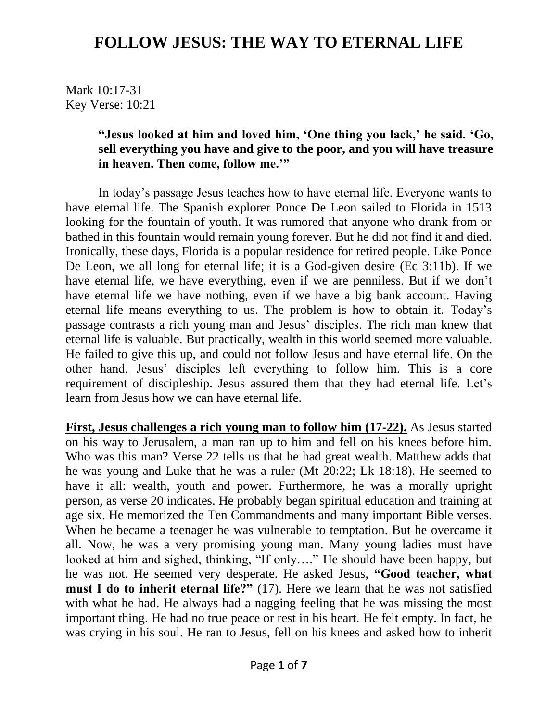Mark 10:17-31 Key Verse: 10:21

#### **"Jesus looked at him and loved him, 'One thing you lack,' he said. 'Go, sell everything you have and give to the poor, and you will have treasure in heaven. Then come, follow me.'"**

In today's passage Jesus teaches how to have eternal life. Everyone wants to have eternal life. The Spanish explorer Ponce De Leon sailed to Florida in 1513 looking for the fountain of youth. It was rumored that anyone who drank from or bathed in this fountain would remain young forever. But he did not find it and died. Ironically, these days, Florida is a popular residence for retired people. Like Ponce De Leon, we all long for eternal life; it is a God-given desire (Ec 3:11b). If we have eternal life, we have everything, even if we are penniless. But if we don't have eternal life we have nothing, even if we have a big bank account. Having eternal life means everything to us. The problem is how to obtain it. Today's passage contrasts a rich young man and Jesus' disciples. The rich man knew that eternal life is valuable. But practically, wealth in this world seemed more valuable. He failed to give this up, and could not follow Jesus and have eternal life. On the other hand, Jesus' disciples left everything to follow him. This is a core requirement of discipleship. Jesus assured them that they had eternal life. Let's learn from Jesus how we can have eternal life.

**First, Jesus challenges a rich young man to follow him (17-22).** As Jesus started on his way to Jerusalem, a man ran up to him and fell on his knees before him. Who was this man? Verse 22 tells us that he had great wealth. Matthew adds that he was young and Luke that he was a ruler (Mt 20:22; Lk 18:18). He seemed to have it all: wealth, youth and power. Furthermore, he was a morally upright person, as verse 20 indicates. He probably began spiritual education and training at age six. He memorized the Ten Commandments and many important Bible verses. When he became a teenager he was vulnerable to temptation. But he overcame it all. Now, he was a very promising young man. Many young ladies must have looked at him and sighed, thinking, "If only…." He should have been happy, but he was not. He seemed very desperate. He asked Jesus, **"Good teacher, what must I do to inherit eternal life?"** (17). Here we learn that he was not satisfied with what he had. He always had a nagging feeling that he was missing the most important thing. He had no true peace or rest in his heart. He felt empty. In fact, he was crying in his soul. He ran to Jesus, fell on his knees and asked how to inherit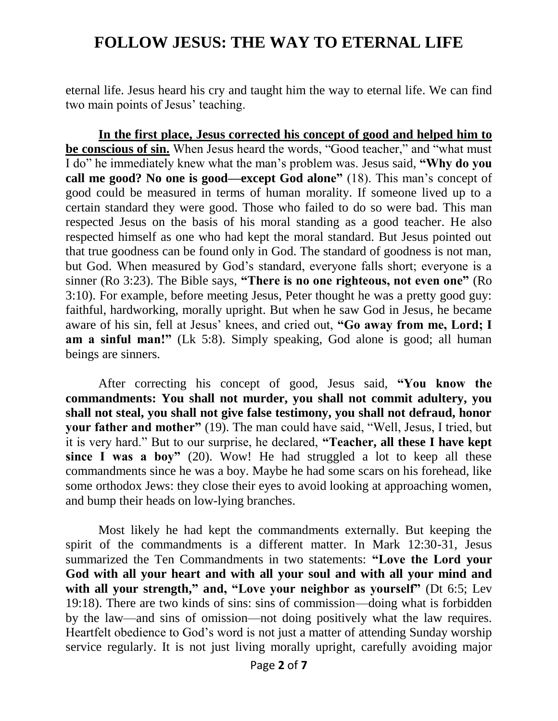eternal life. Jesus heard his cry and taught him the way to eternal life. We can find two main points of Jesus' teaching.

**In the first place, Jesus corrected his concept of good and helped him to be conscious of sin.** When Jesus heard the words, "Good teacher," and "what must I do" he immediately knew what the man's problem was. Jesus said, **"Why do you call me good? No one is good—except God alone"** (18). This man's concept of good could be measured in terms of human morality. If someone lived up to a certain standard they were good. Those who failed to do so were bad. This man respected Jesus on the basis of his moral standing as a good teacher. He also respected himself as one who had kept the moral standard. But Jesus pointed out that true goodness can be found only in God. The standard of goodness is not man, but God. When measured by God's standard, everyone falls short; everyone is a sinner (Ro 3:23). The Bible says, **"There is no one righteous, not even one"** (Ro 3:10). For example, before meeting Jesus, Peter thought he was a pretty good guy: faithful, hardworking, morally upright. But when he saw God in Jesus, he became aware of his sin, fell at Jesus' knees, and cried out, **"Go away from me, Lord; I am a sinful man!"** (Lk 5:8). Simply speaking, God alone is good; all human beings are sinners.

After correcting his concept of good, Jesus said, **"You know the commandments: You shall not murder, you shall not commit adultery, you shall not steal, you shall not give false testimony, you shall not defraud, honor your father and mother"** (19). The man could have said, "Well, Jesus, I tried, but it is very hard." But to our surprise, he declared, **"Teacher, all these I have kept since I was a boy"** (20). Wow! He had struggled a lot to keep all these commandments since he was a boy. Maybe he had some scars on his forehead, like some orthodox Jews: they close their eyes to avoid looking at approaching women, and bump their heads on low-lying branches.

Most likely he had kept the commandments externally. But keeping the spirit of the commandments is a different matter. In Mark 12:30-31, Jesus summarized the Ten Commandments in two statements: **"Love the Lord your God with all your heart and with all your soul and with all your mind and**  with all your strength," and, "Love your neighbor as yourself" (Dt 6:5; Lev 19:18). There are two kinds of sins: sins of commission—doing what is forbidden by the law—and sins of omission—not doing positively what the law requires. Heartfelt obedience to God's word is not just a matter of attending Sunday worship service regularly. It is not just living morally upright, carefully avoiding major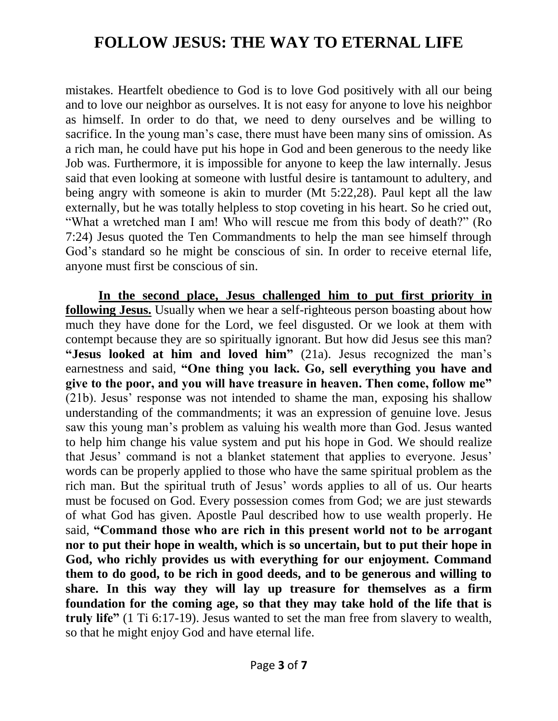mistakes. Heartfelt obedience to God is to love God positively with all our being and to love our neighbor as ourselves. It is not easy for anyone to love his neighbor as himself. In order to do that, we need to deny ourselves and be willing to sacrifice. In the young man's case, there must have been many sins of omission. As a rich man, he could have put his hope in God and been generous to the needy like Job was. Furthermore, it is impossible for anyone to keep the law internally. Jesus said that even looking at someone with lustful desire is tantamount to adultery, and being angry with someone is akin to murder (Mt 5:22,28). Paul kept all the law externally, but he was totally helpless to stop coveting in his heart. So he cried out, "What a wretched man I am! Who will rescue me from this body of death?" (Ro 7:24) Jesus quoted the Ten Commandments to help the man see himself through God's standard so he might be conscious of sin. In order to receive eternal life, anyone must first be conscious of sin.

**In the second place, Jesus challenged him to put first priority in following Jesus.** Usually when we hear a self-righteous person boasting about how much they have done for the Lord, we feel disgusted. Or we look at them with contempt because they are so spiritually ignorant. But how did Jesus see this man? **"Jesus looked at him and loved him"** (21a). Jesus recognized the man's earnestness and said, **"One thing you lack. Go, sell everything you have and give to the poor, and you will have treasure in heaven. Then come, follow me"** (21b). Jesus' response was not intended to shame the man, exposing his shallow understanding of the commandments; it was an expression of genuine love. Jesus saw this young man's problem as valuing his wealth more than God. Jesus wanted to help him change his value system and put his hope in God. We should realize that Jesus' command is not a blanket statement that applies to everyone. Jesus' words can be properly applied to those who have the same spiritual problem as the rich man. But the spiritual truth of Jesus' words applies to all of us. Our hearts must be focused on God. Every possession comes from God; we are just stewards of what God has given. Apostle Paul described how to use wealth properly. He said, **"Command those who are rich in this present world not to be arrogant nor to put their hope in wealth, which is so uncertain, but to put their hope in God, who richly provides us with everything for our enjoyment. Command them to do good, to be rich in good deeds, and to be generous and willing to share. In this way they will lay up treasure for themselves as a firm foundation for the coming age, so that they may take hold of the life that is truly life"** (1 Ti 6:17-19). Jesus wanted to set the man free from slavery to wealth, so that he might enjoy God and have eternal life.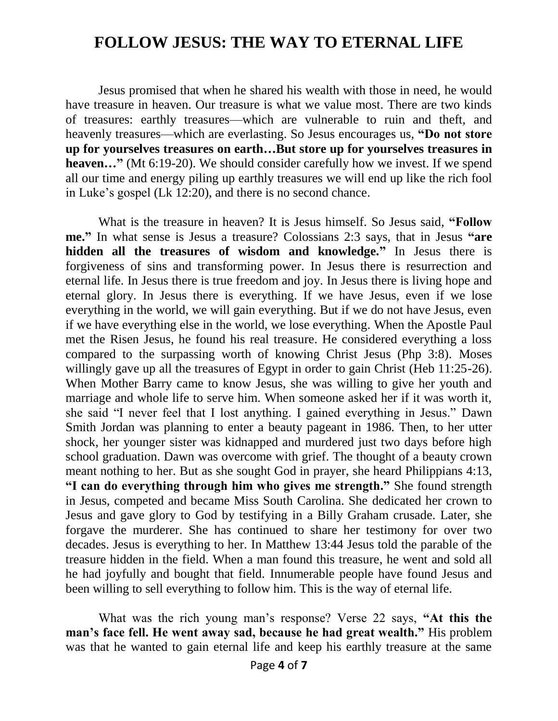Jesus promised that when he shared his wealth with those in need, he would have treasure in heaven. Our treasure is what we value most. There are two kinds of treasures: earthly treasures—which are vulnerable to ruin and theft, and heavenly treasures—which are everlasting. So Jesus encourages us, **"Do not store up for yourselves treasures on earth…But store up for yourselves treasures in heaven...**" (Mt 6:19-20). We should consider carefully how we invest. If we spend all our time and energy piling up earthly treasures we will end up like the rich fool in Luke's gospel (Lk 12:20), and there is no second chance.

What is the treasure in heaven? It is Jesus himself. So Jesus said, **"Follow me."** In what sense is Jesus a treasure? Colossians 2:3 says, that in Jesus **"are hidden all the treasures of wisdom and knowledge."** In Jesus there is forgiveness of sins and transforming power. In Jesus there is resurrection and eternal life. In Jesus there is true freedom and joy. In Jesus there is living hope and eternal glory. In Jesus there is everything. If we have Jesus, even if we lose everything in the world, we will gain everything. But if we do not have Jesus, even if we have everything else in the world, we lose everything. When the Apostle Paul met the Risen Jesus, he found his real treasure. He considered everything a loss compared to the surpassing worth of knowing Christ Jesus (Php 3:8). Moses willingly gave up all the treasures of Egypt in order to gain Christ (Heb 11:25-26). When Mother Barry came to know Jesus, she was willing to give her youth and marriage and whole life to serve him. When someone asked her if it was worth it, she said "I never feel that I lost anything. I gained everything in Jesus." Dawn Smith Jordan was planning to enter a beauty pageant in 1986. Then, to her utter shock, her younger sister was kidnapped and murdered just two days before high school graduation. Dawn was overcome with grief. The thought of a beauty crown meant nothing to her. But as she sought God in prayer, she heard Philippians 4:13, **"I can do everything through him who gives me strength."** She found strength in Jesus, competed and became Miss South Carolina. She dedicated her crown to Jesus and gave glory to God by testifying in a Billy Graham crusade. Later, she forgave the murderer. She has continued to share her testimony for over two decades. Jesus is everything to her. In Matthew 13:44 Jesus told the parable of the treasure hidden in the field. When a man found this treasure, he went and sold all he had joyfully and bought that field. Innumerable people have found Jesus and been willing to sell everything to follow him. This is the way of eternal life.

What was the rich young man's response? Verse 22 says, **"At this the man's face fell. He went away sad, because he had great wealth."** His problem was that he wanted to gain eternal life and keep his earthly treasure at the same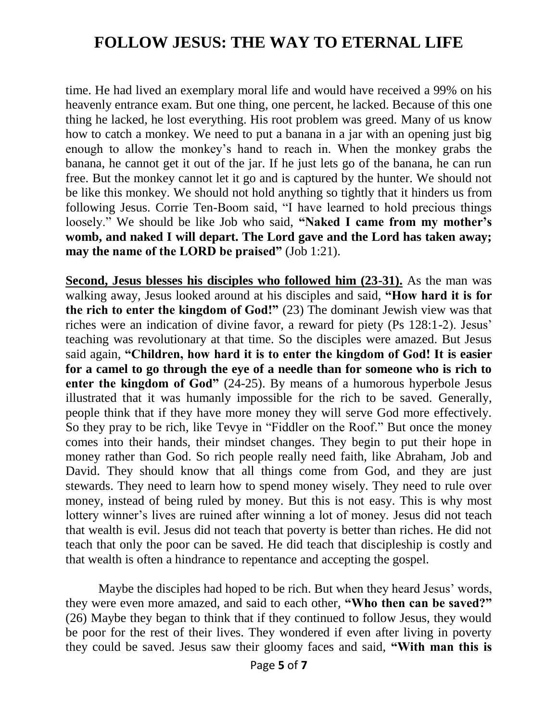time. He had lived an exemplary moral life and would have received a 99% on his heavenly entrance exam. But one thing, one percent, he lacked. Because of this one thing he lacked, he lost everything. His root problem was greed. Many of us know how to catch a monkey. We need to put a banana in a jar with an opening just big enough to allow the monkey's hand to reach in. When the monkey grabs the banana, he cannot get it out of the jar. If he just lets go of the banana, he can run free. But the monkey cannot let it go and is captured by the hunter. We should not be like this monkey. We should not hold anything so tightly that it hinders us from following Jesus. Corrie Ten-Boom said, "I have learned to hold precious things loosely." We should be like Job who said, **"Naked I came from my mother's womb, and naked I will depart. The Lord gave and the Lord has taken away; may the name of the LORD be praised"** (Job 1:21).

**Second, Jesus blesses his disciples who followed him (23-31).** As the man was walking away, Jesus looked around at his disciples and said, **"How hard it is for the rich to enter the kingdom of God!"** (23) The dominant Jewish view was that riches were an indication of divine favor, a reward for piety (Ps 128:1-2). Jesus' teaching was revolutionary at that time. So the disciples were amazed. But Jesus said again, **"Children, how hard it is to enter the kingdom of God! It is easier for a camel to go through the eye of a needle than for someone who is rich to enter the kingdom of God"** (24-25). By means of a humorous hyperbole Jesus illustrated that it was humanly impossible for the rich to be saved. Generally, people think that if they have more money they will serve God more effectively. So they pray to be rich, like Tevye in "Fiddler on the Roof." But once the money comes into their hands, their mindset changes. They begin to put their hope in money rather than God. So rich people really need faith, like Abraham, Job and David. They should know that all things come from God, and they are just stewards. They need to learn how to spend money wisely. They need to rule over money, instead of being ruled by money. But this is not easy. This is why most lottery winner's lives are ruined after winning a lot of money. Jesus did not teach that wealth is evil. Jesus did not teach that poverty is better than riches. He did not teach that only the poor can be saved. He did teach that discipleship is costly and that wealth is often a hindrance to repentance and accepting the gospel.

Maybe the disciples had hoped to be rich. But when they heard Jesus' words, they were even more amazed, and said to each other, **"Who then can be saved?"** (26) Maybe they began to think that if they continued to follow Jesus, they would be poor for the rest of their lives. They wondered if even after living in poverty they could be saved. Jesus saw their gloomy faces and said, **"With man this is**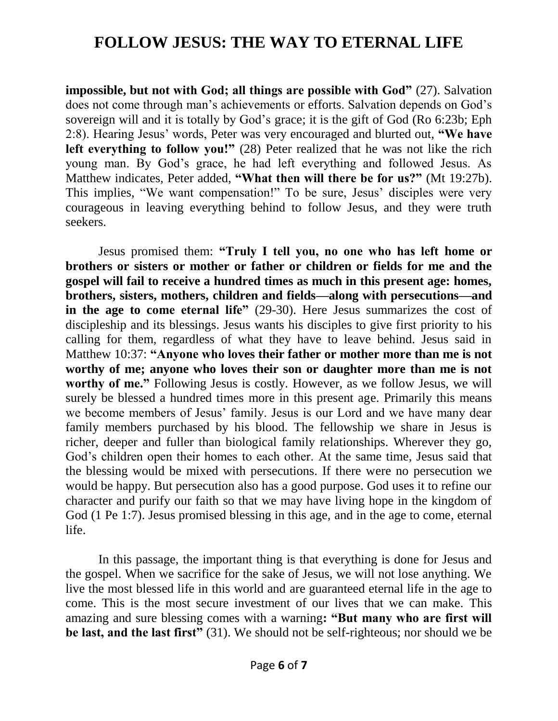**impossible, but not with God; all things are possible with God"** (27). Salvation does not come through man's achievements or efforts. Salvation depends on God's sovereign will and it is totally by God's grace; it is the gift of God (Ro 6:23b; Eph 2:8). Hearing Jesus' words, Peter was very encouraged and blurted out, **"We have left everything to follow you!"** (28) Peter realized that he was not like the rich young man. By God's grace, he had left everything and followed Jesus. As Matthew indicates, Peter added, **"What then will there be for us?"** (Mt 19:27b). This implies, "We want compensation!" To be sure, Jesus' disciples were very courageous in leaving everything behind to follow Jesus, and they were truth seekers.

Jesus promised them: **"Truly I tell you, no one who has left home or brothers or sisters or mother or father or children or fields for me and the gospel will fail to receive a hundred times as much in this present age: homes, brothers, sisters, mothers, children and fields—along with persecutions—and in the age to come eternal life"** (29-30). Here Jesus summarizes the cost of discipleship and its blessings. Jesus wants his disciples to give first priority to his calling for them, regardless of what they have to leave behind. Jesus said in Matthew 10:37: **"Anyone who loves their father or mother more than me is not worthy of me; anyone who loves their son or daughter more than me is not**  worthy of me." Following Jesus is costly. However, as we follow Jesus, we will surely be blessed a hundred times more in this present age. Primarily this means we become members of Jesus' family. Jesus is our Lord and we have many dear family members purchased by his blood. The fellowship we share in Jesus is richer, deeper and fuller than biological family relationships. Wherever they go, God's children open their homes to each other. At the same time, Jesus said that the blessing would be mixed with persecutions. If there were no persecution we would be happy. But persecution also has a good purpose. God uses it to refine our character and purify our faith so that we may have living hope in the kingdom of God (1 Pe 1:7). Jesus promised blessing in this age, and in the age to come, eternal life.

In this passage, the important thing is that everything is done for Jesus and the gospel. When we sacrifice for the sake of Jesus, we will not lose anything. We live the most blessed life in this world and are guaranteed eternal life in the age to come. This is the most secure investment of our lives that we can make. This amazing and sure blessing comes with a warning**: "But many who are first will be last, and the last first"** (31). We should not be self-righteous; nor should we be